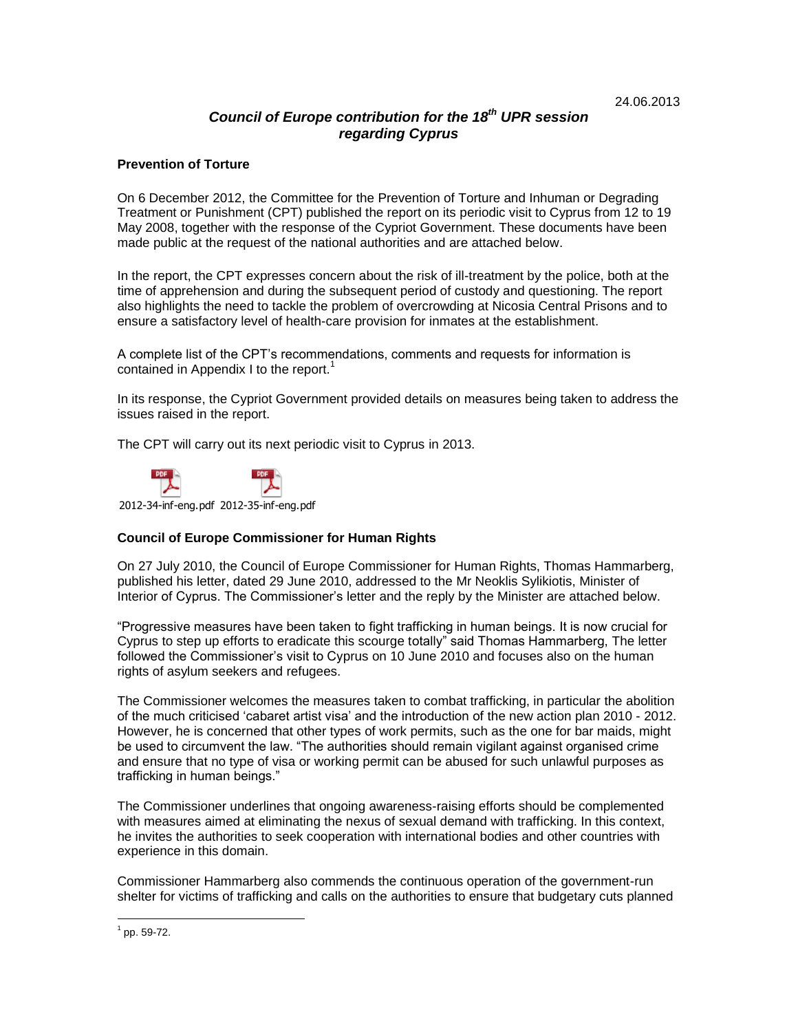# *Council of Europe contribution for the 18 th UPR session regarding Cyprus*

## **Prevention of Torture**

On 6 December 2012, the Committee for the Prevention of Torture and Inhuman or Degrading Treatment or Punishment (CPT) published the report on its periodic visit to Cyprus from 12 to 19 May 2008, together with the response of the Cypriot Government. These documents have been made public at the request of the national authorities and are attached below.

In the report, the CPT expresses concern about the risk of ill-treatment by the police, both at the time of apprehension and during the subsequent period of custody and questioning. The report also highlights the need to tackle the problem of overcrowding at Nicosia Central Prisons and to ensure a satisfactory level of health-care provision for inmates at the establishment.

A complete list of the CPT's recommendations, comments and requests for information is contained in Appendix I to the report.<sup>1</sup>

In its response, the Cypriot Government provided details on measures being taken to address the issues raised in the report.

The CPT will carry out its next periodic visit to Cyprus in 2013.



2012-34-inf-eng.pdf 2012-35-inf-eng.pdf

## **Council of Europe Commissioner for Human Rights**

On 27 July 2010, the Council of Europe Commissioner for Human Rights, Thomas Hammarberg, published his letter, dated 29 June 2010, addressed to the Mr Neoklis Sylikiotis, Minister of Interior of Cyprus. The Commissioner's letter and the reply by the Minister are attached below.

"Progressive measures have been taken to fight trafficking in human beings. It is now crucial for Cyprus to step up efforts to eradicate this scourge totally" said Thomas Hammarberg, The letter followed the Commissioner's visit to Cyprus on 10 June 2010 and focuses also on the human rights of asylum seekers and refugees.

The Commissioner welcomes the measures taken to combat trafficking, in particular the abolition of the much criticised 'cabaret artist visa' and the introduction of the new action plan 2010 - 2012. However, he is concerned that other types of work permits, such as the one for bar maids, might be used to circumvent the law. "The authorities should remain vigilant against organised crime and ensure that no type of visa or working permit can be abused for such unlawful purposes as trafficking in human beings."

The Commissioner underlines that ongoing awareness-raising efforts should be complemented with measures aimed at eliminating the nexus of sexual demand with trafficking. In this context, he invites the authorities to seek cooperation with international bodies and other countries with experience in this domain.

Commissioner Hammarberg also commends the continuous operation of the government-run shelter for victims of trafficking and calls on the authorities to ensure that budgetary cuts planned

 $\overline{a}$ 

 $1$  pp. 59-72.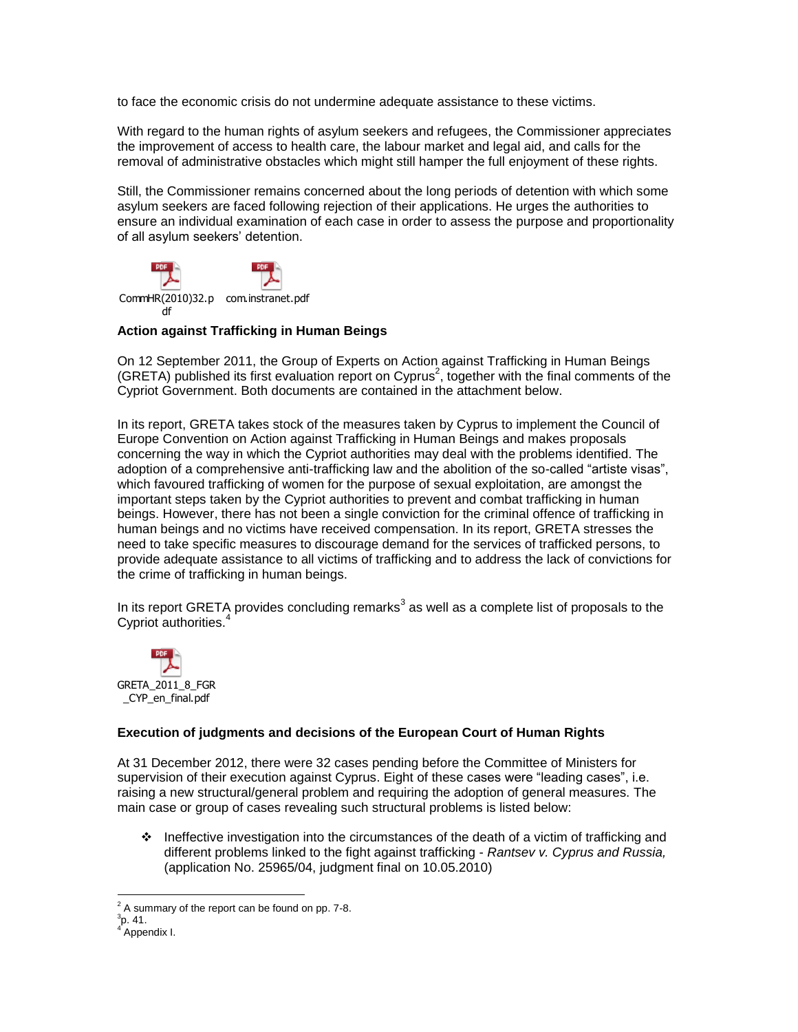to face the economic crisis do not undermine adequate assistance to these victims.

With regard to the human rights of asylum seekers and refugees, the Commissioner appreciates the improvement of access to health care, the labour market and legal aid, and calls for the removal of administrative obstacles which might still hamper the full enjoyment of these rights.

Still, the Commissioner remains concerned about the long periods of detention with which some asylum seekers are faced following rejection of their applications. He urges the authorities to ensure an individual examination of each case in order to assess the purpose and proportionality of all asylum seekers' detention.



## **Action against Trafficking in Human Beings**

On 12 September 2011, the Group of Experts on Action against Trafficking in Human Beings (GRETA) published its first evaluation report on Cyprus<sup>2</sup>, together with the final comments of the Cypriot Government. Both documents are contained in the attachment below.

In its report, GRETA takes stock of the measures taken by Cyprus to implement the Council of Europe Convention on Action against Trafficking in Human Beings and makes proposals concerning the way in which the Cypriot authorities may deal with the problems identified. The adoption of a comprehensive anti-trafficking law and the abolition of the so-called "artiste visas", which favoured trafficking of women for the purpose of sexual exploitation, are amongst the important steps taken by the Cypriot authorities to prevent and combat trafficking in human beings. However, there has not been a single conviction for the criminal offence of trafficking in human beings and no victims have received compensation. In its report, GRETA stresses the need to take specific measures to discourage demand for the services of trafficked persons, to provide adequate assistance to all victims of trafficking and to address the lack of convictions for the crime of trafficking in human beings.

In its report GRETA provides concluding remarks<sup>3</sup> as well as a complete list of proposals to the Cypriot authorities.<sup>4</sup>



### **Execution of judgments and decisions of the European Court of Human Rights**

At 31 December 2012, there were 32 cases pending before the Committee of Ministers for supervision of their execution against Cyprus. Eight of these cases were "leading cases", i.e. raising a new structural/general problem and requiring the adoption of general measures. The main case or group of cases revealing such structural problems is listed below:

 $\cdot$  Ineffective investigation into the circumstances of the death of a victim of trafficking and different problems linked to the fight against trafficking - *Rantsev v. Cyprus and Russia,*  (application No. 25965/04, judgment final on 10.05.2010)

 $\overline{a}$  $2^2$  A summary of the report can be found on pp. 7-8.

 $^3$ p. 41.

<sup>4</sup> Appendix I.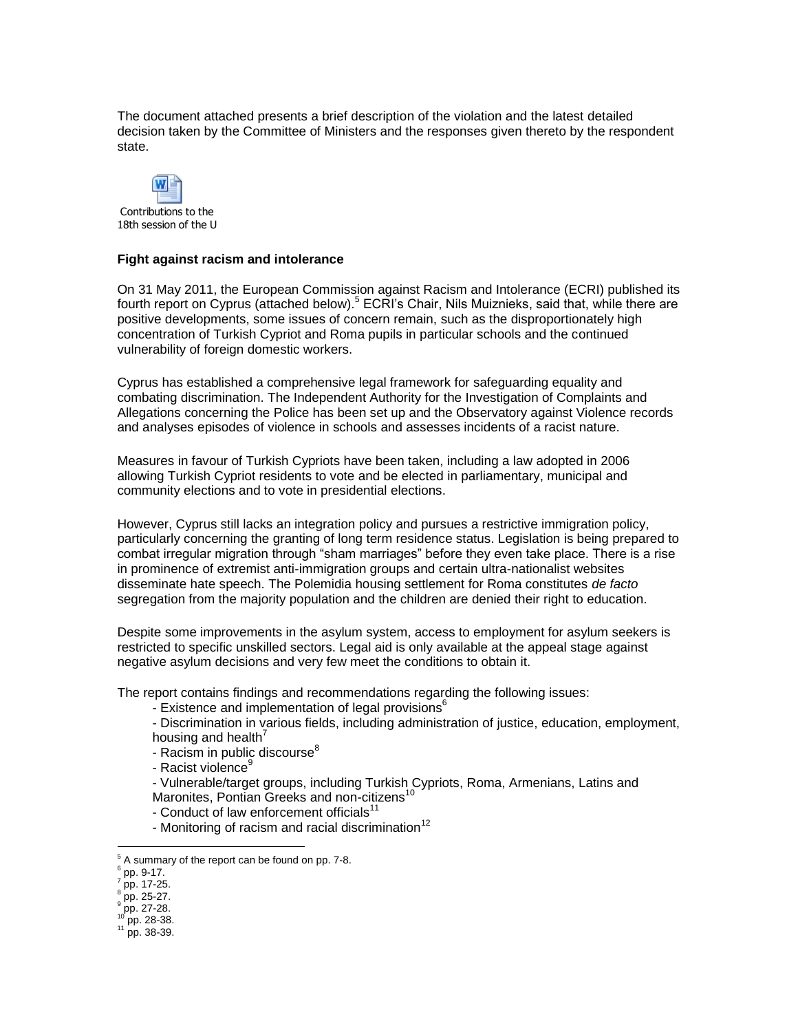The document attached presents a brief description of the violation and the latest detailed decision taken by the Committee of Ministers and the responses given thereto by the respondent state.



#### **Fight against racism and intolerance**

On 31 May 2011, the European Commission against Racism and Intolerance (ECRI) published its fourth report on Cyprus (attached below).<sup>5</sup> ECRI's Chair, Nils Muiznieks, said that, while there are positive developments, some issues of concern remain, such as the disproportionately high concentration of Turkish Cypriot and Roma pupils in particular schools and the continued vulnerability of foreign domestic workers.

Cyprus has established a comprehensive legal framework for safeguarding equality and combating discrimination. The Independent Authority for the Investigation of Complaints and Allegations concerning the Police has been set up and the Observatory against Violence records and analyses episodes of violence in schools and assesses incidents of a racist nature.

Measures in favour of Turkish Cypriots have been taken, including a law adopted in 2006 allowing Turkish Cypriot residents to vote and be elected in parliamentary, municipal and community elections and to vote in presidential elections.

However, Cyprus still lacks an integration policy and pursues a restrictive immigration policy, particularly concerning the granting of long term residence status. Legislation is being prepared to combat irregular migration through "sham marriages" before they even take place. There is a rise in prominence of extremist anti-immigration groups and certain ultra-nationalist websites disseminate hate speech. The Polemidia housing settlement for Roma constitutes *de facto* segregation from the majority population and the children are denied their right to education.

Despite some improvements in the asylum system, access to employment for asylum seekers is restricted to specific unskilled sectors. Legal aid is only available at the appeal stage against negative asylum decisions and very few meet the conditions to obtain it.

The report contains findings and recommendations regarding the following issues:

- Existence and implementation of legal provisions<sup>6</sup>
- Discrimination in various fields, including administration of justice, education, employment, housing and health $^7$
- Racism in public discourse<sup>8</sup>
- Racist violence<sup>9</sup>
- Vulnerable/target groups, including Turkish Cypriots, Roma, Armenians, Latins and
- Maronites, Pontian Greeks and non-citizens<sup>10</sup>
- Conduct of law enforcement officials $11$
- Monitoring of racism and racial discrimination<sup>12</sup>

 $\overline{a}$ 

<sup>5</sup> A summary of the report can be found on pp. 7-8.

 $\frac{6}{7}$  pp. 9-17.<br> $\frac{7}{7}$  pp. 17.36

pp. 17-25.

<sup>8</sup> pp. 25-27.

 $^9$  pp. 27-28.

pp. 28-38.

<sup>11</sup> pp. 38-39.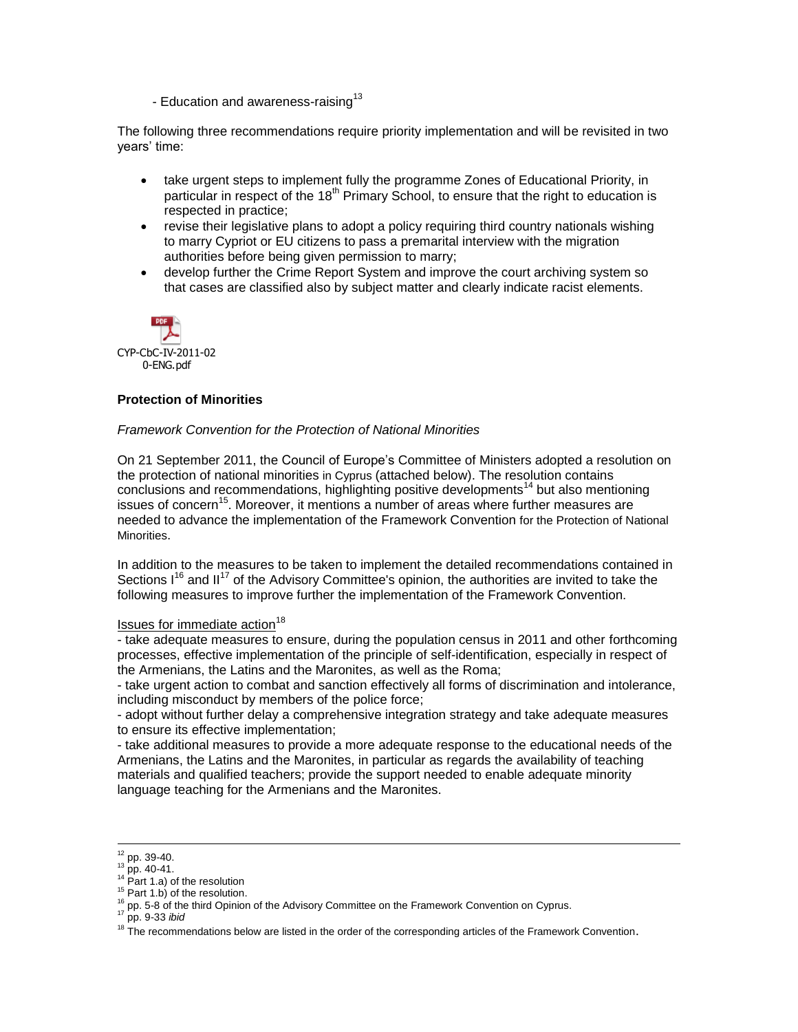- Education and awareness-raising<sup>13</sup>

The following three recommendations require priority implementation and will be revisited in two years' time:

- take urgent steps to implement fully the programme Zones of Educational Priority, in particular in respect of the  $18<sup>th</sup>$  Primary School, to ensure that the right to education is respected in practice;
- revise their legislative plans to adopt a policy requiring third country nationals wishing to marry Cypriot or EU citizens to pass a premarital interview with the migration authorities before being given permission to marry;
- develop further the Crime Report System and improve the court archiving system so that cases are classified also by subject matter and clearly indicate racist elements.



#### **Protection of Minorities**

#### *Framework Convention for the Protection of National Minorities*

On 21 September 2011, the Council of Europe's Committee of Ministers adopted a resolution on the protection of national minorities in Cyprus (attached below). The resolution contains conclusions and recommendations, highlighting positive developments<sup>14</sup> but also mentioning issues of concern<sup>15</sup>. Moreover, it mentions a number of areas where further measures are needed to advance the implementation of the Framework Convention for the Protection of National Minorities.

In addition to the measures to be taken to implement the detailed recommendations contained in Sections  $1^{16}$  and  $II^{17}$  of the Advisory Committee's opinion, the authorities are invited to take the following measures to improve further the implementation of the Framework Convention.

# Issues for immediate action<sup>18</sup>

- take adequate measures to ensure, during the population census in 2011 and other forthcoming processes, effective implementation of the principle of self-identification, especially in respect of the Armenians, the Latins and the Maronites, as well as the Roma;

- take urgent action to combat and sanction effectively all forms of discrimination and intolerance, including misconduct by members of the police force;

- adopt without further delay a comprehensive integration strategy and take adequate measures to ensure its effective implementation;

- take additional measures to provide a more adequate response to the educational needs of the Armenians, the Latins and the Maronites, in particular as regards the availability of teaching materials and qualified teachers; provide the support needed to enable adequate minority language teaching for the Armenians and the Maronites.

 $\overline{a}$ 

 $12$  pp. 39-40.

 $13$  pp. 40-41.

 $14$  Part 1.a) of the resolution

 $15$  Part 1.b) of the resolution.

<sup>&</sup>lt;sup>16</sup> pp. 5-8 of the third Opinion of the Advisory Committee on the Framework Convention on Cyprus.

<sup>17</sup> pp. 9-33 *ibid*

<sup>&</sup>lt;sup>18</sup> The recommendations below are listed in the order of the corresponding articles of the Framework Convention.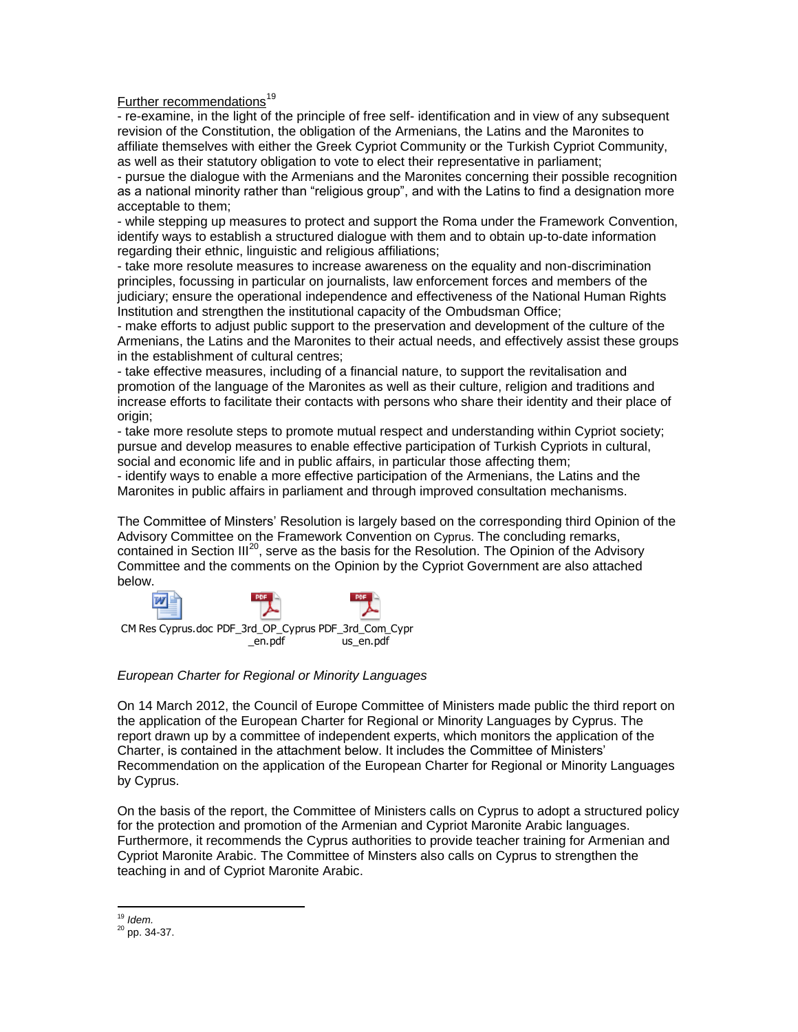Further recommendations<sup>19</sup>

- re-examine, in the light of the principle of free self- identification and in view of any subsequent revision of the Constitution, the obligation of the Armenians, the Latins and the Maronites to affiliate themselves with either the Greek Cypriot Community or the Turkish Cypriot Community, as well as their statutory obligation to vote to elect their representative in parliament;

- pursue the dialogue with the Armenians and the Maronites concerning their possible recognition as a national minority rather than "religious group", and with the Latins to find a designation more acceptable to them;

- while stepping up measures to protect and support the Roma under the Framework Convention, identify ways to establish a structured dialogue with them and to obtain up-to-date information regarding their ethnic, linguistic and religious affiliations;

- take more resolute measures to increase awareness on the equality and non-discrimination principles, focussing in particular on journalists, law enforcement forces and members of the judiciary; ensure the operational independence and effectiveness of the National Human Rights Institution and strengthen the institutional capacity of the Ombudsman Office;

- make efforts to adjust public support to the preservation and development of the culture of the Armenians, the Latins and the Maronites to their actual needs, and effectively assist these groups in the establishment of cultural centres;

- take effective measures, including of a financial nature, to support the revitalisation and promotion of the language of the Maronites as well as their culture, religion and traditions and increase efforts to facilitate their contacts with persons who share their identity and their place of origin;

- take more resolute steps to promote mutual respect and understanding within Cypriot society; pursue and develop measures to enable effective participation of Turkish Cypriots in cultural, social and economic life and in public affairs, in particular those affecting them;

- identify ways to enable a more effective participation of the Armenians, the Latins and the Maronites in public affairs in parliament and through improved consultation mechanisms.

The Committee of Minsters' Resolution is largely based on the corresponding third Opinion of the Advisory Committee on the Framework Convention on Cyprus. The concluding remarks, contained in Section III<sup>20</sup>, serve as the basis for the Resolution. The Opinion of the Advisory Committee and the comments on the Opinion by the Cypriot Government are also attached below.



### *European Charter for Regional or Minority Languages*

On 14 March 2012, the Council of Europe Committee of Ministers made public the third report on the application of the European Charter for Regional or Minority Languages by Cyprus. The report drawn up by a committee of independent experts, which monitors the application of the Charter, is contained in the attachment below. It includes the Committee of Ministers' Recommendation on the application of the European Charter for Regional or Minority Languages by Cyprus.

On the basis of the report, the Committee of Ministers calls on Cyprus to adopt a structured policy for the protection and promotion of the Armenian and Cypriot Maronite Arabic languages. Furthermore, it recommends the Cyprus authorities to provide teacher training for Armenian and Cypriot Maronite Arabic. The Committee of Minsters also calls on Cyprus to strengthen the teaching in and of Cypriot Maronite Arabic.

 $\overline{a}$ <sup>19</sup> *Idem.*

<sup>20</sup> pp. 34-37.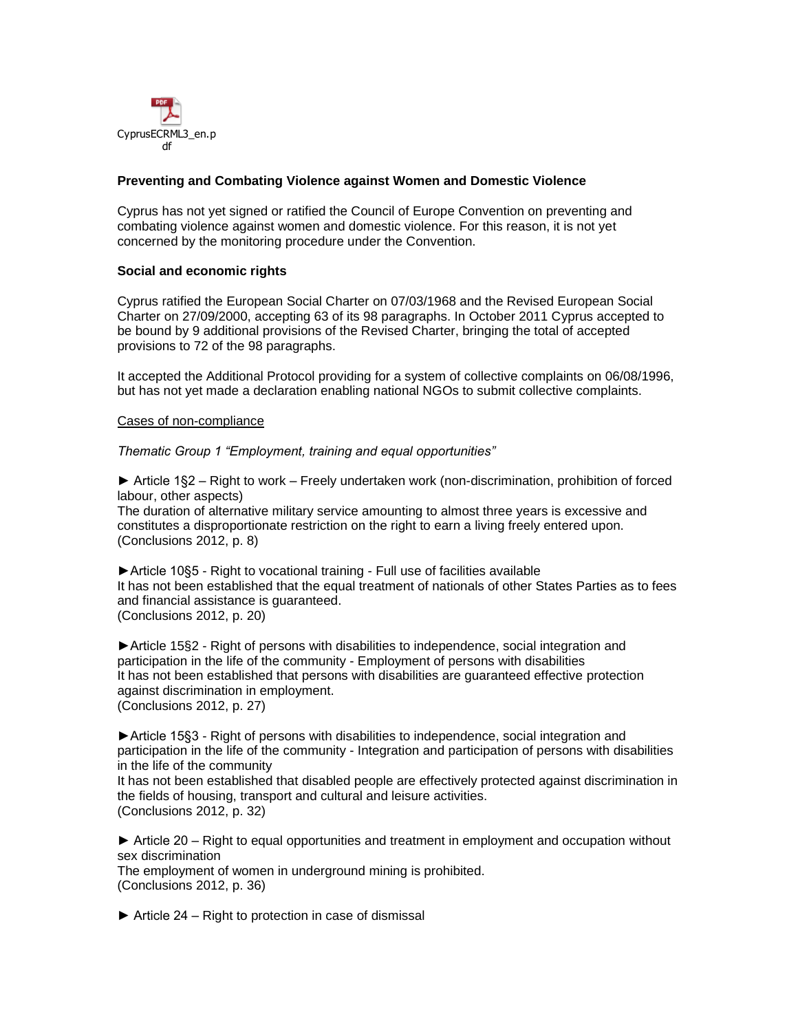![](_page_5_Picture_0.jpeg)

## **Preventing and Combating Violence against Women and Domestic Violence**

Cyprus has not yet signed or ratified the Council of Europe Convention on preventing and combating violence against women and domestic violence. For this reason, it is not yet concerned by the monitoring procedure under the Convention.

#### **Social and economic rights**

Cyprus ratified the European Social Charter on 07/03/1968 and the Revised European Social Charter on 27/09/2000, accepting 63 of its 98 paragraphs. In October 2011 Cyprus accepted to be bound by 9 additional provisions of the Revised Charter, bringing the total of accepted provisions to 72 of the 98 paragraphs.

It accepted the Additional Protocol providing for a system of collective complaints on 06/08/1996, but has not yet made a declaration enabling national NGOs to submit collective complaints.

#### Cases of non-compliance

*Thematic Group 1 "Employment, training and equal opportunities"* 

► Article 1§2 – Right to work – Freely undertaken work (non-discrimination, prohibition of forced labour, other aspects)

The duration of alternative military service amounting to almost three years is excessive and constitutes a disproportionate restriction on the right to earn a living freely entered upon. (Conclusions 2012, p. 8)

►Article 10§5 - Right to vocational training - Full use of facilities available It has not been established that the equal treatment of nationals of other States Parties as to fees and financial assistance is guaranteed. (Conclusions 2012, p. 20)

►Article 15§2 - Right of persons with disabilities to independence, social integration and participation in the life of the community - Employment of persons with disabilities It has not been established that persons with disabilities are guaranteed effective protection against discrimination in employment. (Conclusions 2012, p. 27)

►Article 15§3 - Right of persons with disabilities to independence, social integration and participation in the life of the community - Integration and participation of persons with disabilities in the life of the community

It has not been established that disabled people are effectively protected against discrimination in the fields of housing, transport and cultural and leisure activities. (Conclusions 2012, p. 32)

► Article 20 – Right to equal opportunities and treatment in employment and occupation without sex discrimination

The employment of women in underground mining is prohibited. (Conclusions 2012, p. 36)

 $\triangleright$  Article 24 – Right to protection in case of dismissal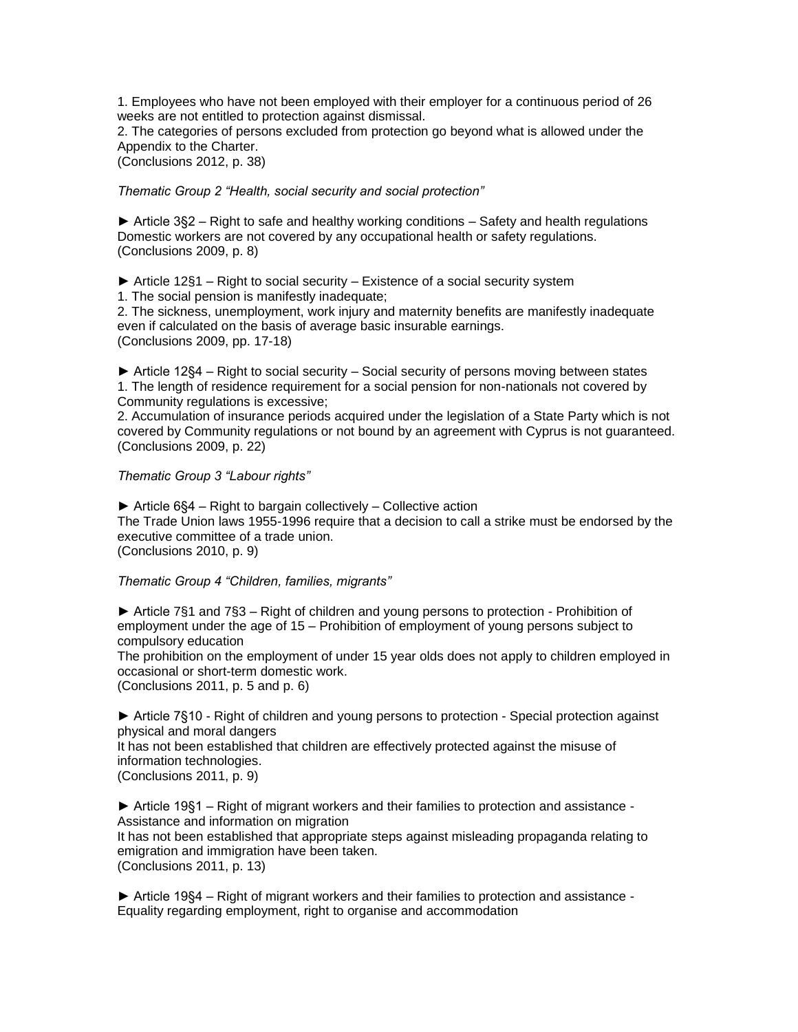1. Employees who have not been employed with their employer for a continuous period of 26 weeks are not entitled to protection against dismissal.

2. The categories of persons excluded from protection go beyond what is allowed under the Appendix to the Charter.

(Conclusions 2012, p. 38)

*Thematic Group 2 "Health, social security and social protection"* 

► Article 3§2 – Right to safe and healthy working conditions – Safety and health regulations Domestic workers are not covered by any occupational health or safety regulations. (Conclusions 2009, p. 8)

► Article 12§1 – Right to social security – Existence of a social security system 1. The social pension is manifestly inadequate;

2. The sickness, unemployment, work injury and maternity benefits are manifestly inadequate even if calculated on the basis of average basic insurable earnings. (Conclusions 2009, pp. 17-18)

► Article 12§4 – Right to social security – Social security of persons moving between states 1. The length of residence requirement for a social pension for non-nationals not covered by Community regulations is excessive;

2. Accumulation of insurance periods acquired under the legislation of a State Party which is not covered by Community regulations or not bound by an agreement with Cyprus is not guaranteed. (Conclusions 2009, p. 22)

*Thematic Group 3 "Labour rights"* 

► Article 6§4 – Right to bargain collectively – Collective action The Trade Union laws 1955-1996 require that a decision to call a strike must be endorsed by the executive committee of a trade union. (Conclusions 2010, p. 9)

*Thematic Group 4 "Children, families, migrants"* 

► Article 7§1 and 7§3 – Right of children and young persons to protection - Prohibition of employment under the age of 15 – Prohibition of employment of young persons subject to compulsory education

The prohibition on the employment of under 15 year olds does not apply to children employed in occasional or short-term domestic work.

(Conclusions 2011, p. 5 and p. 6)

► Article 7§10 - Right of children and young persons to protection - Special protection against physical and moral dangers

It has not been established that children are effectively protected against the misuse of information technologies.

(Conclusions 2011, p. 9)

► Article 19§1 – Right of migrant workers and their families to protection and assistance - Assistance and information on migration

It has not been established that appropriate steps against misleading propaganda relating to emigration and immigration have been taken.

(Conclusions 2011, p. 13)

► Article 19§4 – Right of migrant workers and their families to protection and assistance - Equality regarding employment, right to organise and accommodation